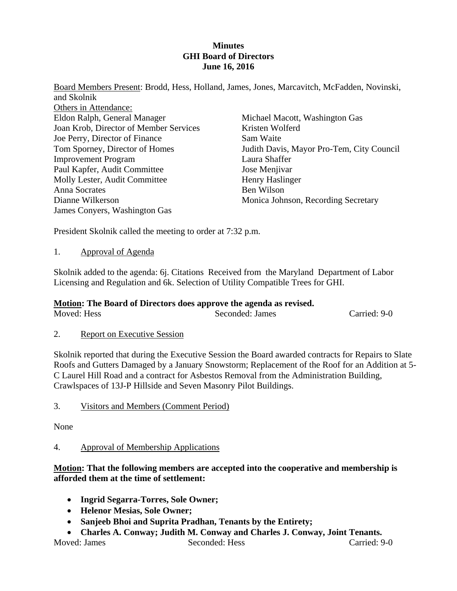## **Minutes GHI Board of Directors June 16, 2016**

Board Members Present: Brodd, Hess, Holland, James, Jones, Marcavitch, McFadden, Novinski, and Skolnik Others in Attendance: Eldon Ralph, General Manager Joan Krob, Director of Member Services Joe Perry, Director of Finance Tom Sporney, Director of Homes Improvement Program Paul Kapfer, Audit Committee Molly Lester, Audit Committee Anna Socrates Dianne Wilkerson James Conyers, Washington Gas Michael Macott, Washington Gas Kristen Wolferd Sam Waite Judith Davis, Mayor Pro-Tem, City Council Laura Shaffer Jose Menjivar Henry Haslinger Ben Wilson Monica Johnson, Recording Secretary

President Skolnik called the meeting to order at 7:32 p.m.

## 1. Approval of Agenda

Skolnik added to the agenda: 6j. Citations Received from the Maryland Department of Labor Licensing and Regulation and 6k. Selection of Utility Compatible Trees for GHI.

# **Motion: The Board of Directors does approve the agenda as revised.**

Moved: Hess Seconded: James Carried: 9-0

# 2. Report on Executive Session

Skolnik reported that during the Executive Session the Board awarded contracts for Repairs to Slate Roofs and Gutters Damaged by a January Snowstorm; Replacement of the Roof for an Addition at 5- C Laurel Hill Road and a contract for Asbestos Removal from the Administration Building, Crawlspaces of 13J-P Hillside and Seven Masonry Pilot Buildings.

3. Visitors and Members (Comment Period)

None

# 4. Approval of Membership Applications

# **Motion: That the following members are accepted into the cooperative and membership is afforded them at the time of settlement:**

- **Ingrid Segarra-Torres, Sole Owner;**
- **Helenor Mesias, Sole Owner;**
- **Sanjeeb Bhoi and Suprita Pradhan, Tenants by the Entirety;**
- **Charles A. Conway; Judith M. Conway and Charles J. Conway, Joint Tenants.**

Moved: James Seconded: Hess Carried: 9-0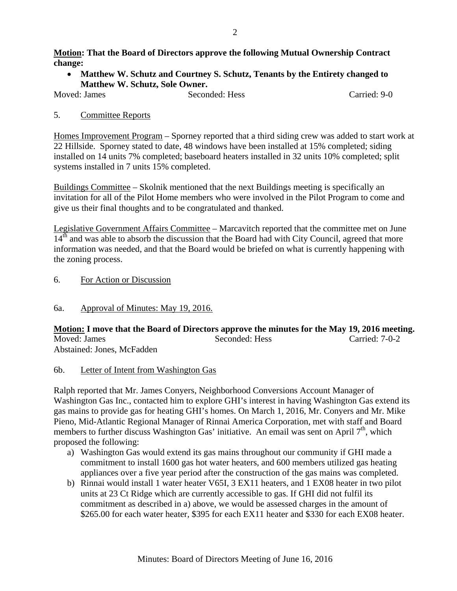## **Motion: That the Board of Directors approve the following Mutual Ownership Contract change:**

 **Matthew W. Schutz and Courtney S. Schutz, Tenants by the Entirety changed to Matthew W. Schutz, Sole Owner.** 

Moved: James Seconded: Hess Carried: 9-0

## 5. Committee Reports

Homes Improvement Program – Sporney reported that a third siding crew was added to start work at 22 Hillside. Sporney stated to date, 48 windows have been installed at 15% completed; siding installed on 14 units 7% completed; baseboard heaters installed in 32 units 10% completed; split systems installed in 7 units 15% completed.

Buildings Committee – Skolnik mentioned that the next Buildings meeting is specifically an invitation for all of the Pilot Home members who were involved in the Pilot Program to come and give us their final thoughts and to be congratulated and thanked.

Legislative Government Affairs Committee – Marcavitch reported that the committee met on June  $14<sup>th</sup>$  and was able to absorb the discussion that the Board had with City Council, agreed that more information was needed, and that the Board would be briefed on what is currently happening with the zoning process.

- 6. For Action or Discussion
- 6a. Approval of Minutes: May 19, 2016.

**Motion: I move that the Board of Directors approve the minutes for the May 19, 2016 meeting.** Moved: James Seconded: Hess Carried: 7-0-2 Abstained: Jones, McFadden

## 6b. Letter of Intent from Washington Gas

Ralph reported that Mr. James Conyers, Neighborhood Conversions Account Manager of Washington Gas Inc., contacted him to explore GHI's interest in having Washington Gas extend its gas mains to provide gas for heating GHI's homes. On March 1, 2016, Mr. Conyers and Mr. Mike Pieno, Mid-Atlantic Regional Manager of Rinnai America Corporation, met with staff and Board members to further discuss Washington Gas' initiative. An email was sent on April 7<sup>th</sup>, which proposed the following:

- a) Washington Gas would extend its gas mains throughout our community if GHI made a commitment to install 1600 gas hot water heaters, and 600 members utilized gas heating appliances over a five year period after the construction of the gas mains was completed.
- b) Rinnai would install 1 water heater V65I, 3 EX11 heaters, and 1 EX08 heater in two pilot units at 23 Ct Ridge which are currently accessible to gas. If GHI did not fulfil its commitment as described in a) above, we would be assessed charges in the amount of \$265.00 for each water heater, \$395 for each EX11 heater and \$330 for each EX08 heater.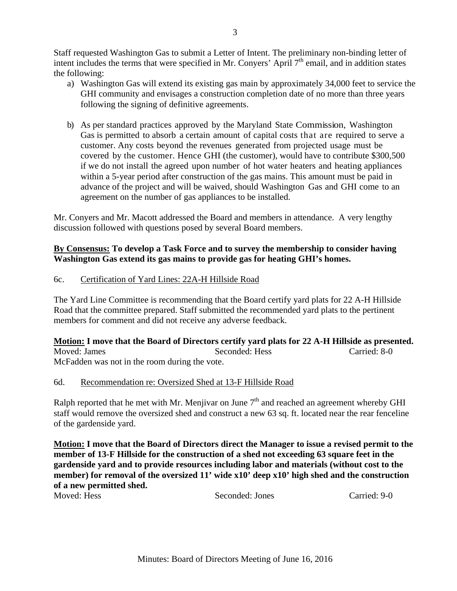Staff requested Washington Gas to submit a Letter of Intent. The preliminary non-binding letter of intent includes the terms that were specified in Mr. Convers' April  $7<sup>th</sup>$  email, and in addition states the following:

- a) Washington Gas will extend its existing gas main by approximately 34,000 feet to service the GHI community and envisages a construction completion date of no more than three years following the signing of definitive agreements.
- b) As per standard practices approved by the Maryland State Commission, Washington Gas is permitted to absorb a certain amount of capital costs that are required to serve a customer. Any costs beyond the revenues generated from projected usage must be covered by the customer. Hence GHI (the customer), would have to contribute \$300,500 if we do not install the agreed upon number of hot water heaters and heating appliances within a 5-year period after construction of the gas mains. This amount must be paid in advance of the project and will be waived, should Washington Gas and GHI come to an agreement on the number of gas appliances to be installed.

Mr. Conyers and Mr. Macott addressed the Board and members in attendance. A very lengthy discussion followed with questions posed by several Board members.

# **By Consensus: To develop a Task Force and to survey the membership to consider having Washington Gas extend its gas mains to provide gas for heating GHI's homes.**

## 6c. Certification of Yard Lines: 22A-H Hillside Road

The Yard Line Committee is recommending that the Board certify yard plats for 22 A-H Hillside Road that the committee prepared. Staff submitted the recommended yard plats to the pertinent members for comment and did not receive any adverse feedback.

**Motion: I move that the Board of Directors certify yard plats for 22 A-H Hillside as presented.**  Moved: James Seconded: Hess Carried: 8-0 McFadden was not in the room during the vote.

## 6d. Recommendation re: Oversized Shed at 13-F Hillside Road

Ralph reported that he met with Mr. Menjivar on June  $7<sup>th</sup>$  and reached an agreement whereby GHI staff would remove the oversized shed and construct a new 63 sq. ft. located near the rear fenceline of the gardenside yard.

**Motion: I move that the Board of Directors direct the Manager to issue a revised permit to the member of 13-F Hillside for the construction of a shed not exceeding 63 square feet in the gardenside yard and to provide resources including labor and materials (without cost to the member) for removal of the oversized 11' wide x10' deep x10' high shed and the construction of a new permitted shed.** 

Moved: Hess Seconded: Jones Carried: 9-0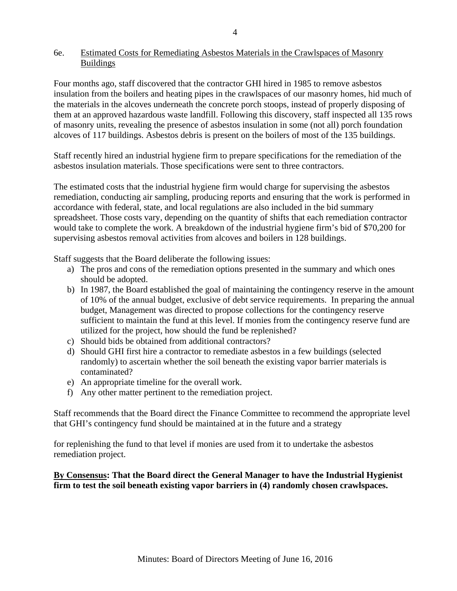## 6e. Estimated Costs for Remediating Asbestos Materials in the Crawlspaces of Masonry Buildings

Four months ago, staff discovered that the contractor GHI hired in 1985 to remove asbestos insulation from the boilers and heating pipes in the crawlspaces of our masonry homes, hid much of the materials in the alcoves underneath the concrete porch stoops, instead of properly disposing of them at an approved hazardous waste landfill. Following this discovery, staff inspected all 135 rows of masonry units, revealing the presence of asbestos insulation in some (not all) porch foundation alcoves of 117 buildings. Asbestos debris is present on the boilers of most of the 135 buildings.

Staff recently hired an industrial hygiene firm to prepare specifications for the remediation of the asbestos insulation materials. Those specifications were sent to three contractors.

The estimated costs that the industrial hygiene firm would charge for supervising the asbestos remediation, conducting air sampling, producing reports and ensuring that the work is performed in accordance with federal, state, and local regulations are also included in the bid summary spreadsheet. Those costs vary, depending on the quantity of shifts that each remediation contractor would take to complete the work. A breakdown of the industrial hygiene firm's bid of \$70,200 for supervising asbestos removal activities from alcoves and boilers in 128 buildings.

Staff suggests that the Board deliberate the following issues:

- a) The pros and cons of the remediation options presented in the summary and which ones should be adopted.
- b) In 1987, the Board established the goal of maintaining the contingency reserve in the amount of 10% of the annual budget, exclusive of debt service requirements. In preparing the annual budget, Management was directed to propose collections for the contingency reserve sufficient to maintain the fund at this level. If monies from the contingency reserve fund are utilized for the project, how should the fund be replenished?
- c) Should bids be obtained from additional contractors?
- d) Should GHI first hire a contractor to remediate asbestos in a few buildings (selected randomly) to ascertain whether the soil beneath the existing vapor barrier materials is contaminated?
- e) An appropriate timeline for the overall work.
- f) Any other matter pertinent to the remediation project.

Staff recommends that the Board direct the Finance Committee to recommend the appropriate level that GHI's contingency fund should be maintained at in the future and a strategy

for replenishing the fund to that level if monies are used from it to undertake the asbestos remediation project.

## **By Consensus: That the Board direct the General Manager to have the Industrial Hygienist firm to test the soil beneath existing vapor barriers in (4) randomly chosen crawlspaces.**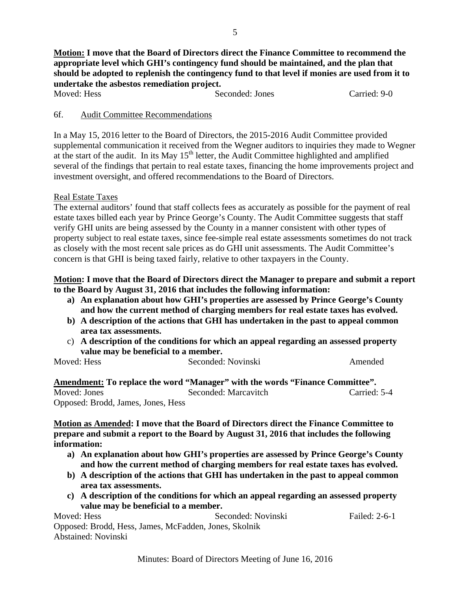| Moved: Hess |  | Seconded: Jones |
|-------------|--|-----------------|

Carried: 9-0

#### 6f. Audit Committee Recommendations

In a May 15, 2016 letter to the Board of Directors, the 2015-2016 Audit Committee provided supplemental communication it received from the Wegner auditors to inquiries they made to Wegner at the start of the audit. In its May  $15<sup>th</sup>$  letter, the Audit Committee highlighted and amplified several of the findings that pertain to real estate taxes, financing the home improvements project and investment oversight, and offered recommendations to the Board of Directors.

## Real Estate Taxes

The external auditors' found that staff collects fees as accurately as possible for the payment of real estate taxes billed each year by Prince George's County. The Audit Committee suggests that staff verify GHI units are being assessed by the County in a manner consistent with other types of property subject to real estate taxes, since fee-simple real estate assessments sometimes do not track as closely with the most recent sale prices as do GHI unit assessments. The Audit Committee's concern is that GHI is being taxed fairly, relative to other taxpayers in the County.

## **Motion: I move that the Board of Directors direct the Manager to prepare and submit a report to the Board by August 31, 2016 that includes the following information:**

- **a) An explanation about how GHI's properties are assessed by Prince George's County and how the current method of charging members for real estate taxes has evolved.**
- **b) A description of the actions that GHI has undertaken in the past to appeal common area tax assessments.**
- c) **A description of the conditions for which an appeal regarding an assessed property value may be beneficial to a member.**

| Moved: Hess | Seconded: Novinski | Amended |
|-------------|--------------------|---------|

**Amendment: To replace the word "Manager" with the words "Finance Committee".**  Moved: Jones Seconded: Marcavitch Carried: 5-4 Opposed: Brodd, James, Jones, Hess

**Motion as Amended: I move that the Board of Directors direct the Finance Committee to prepare and submit a report to the Board by August 31, 2016 that includes the following information:** 

- **a) An explanation about how GHI's properties are assessed by Prince George's County and how the current method of charging members for real estate taxes has evolved.**
- **b) A description of the actions that GHI has undertaken in the past to appeal common area tax assessments.**
- **c) A description of the conditions for which an appeal regarding an assessed property value may be beneficial to a member.**

Moved: Hess Seconded: Novinski Failed: 2-6-1 Opposed: Brodd, Hess, James, McFadden, Jones, Skolnik Abstained: Novinski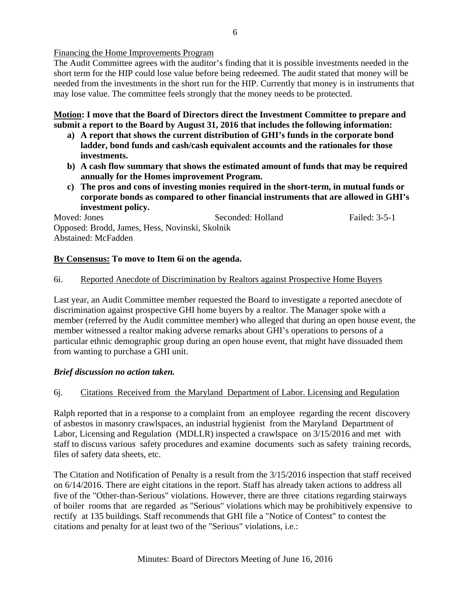Financing the Home Improvements Program

The Audit Committee agrees with the auditor's finding that it is possible investments needed in the short term for the HIP could lose value before being redeemed. The audit stated that money will be needed from the investments in the short run for the HIP. Currently that money is in instruments that may lose value. The committee feels strongly that the money needs to be protected.

**Motion: I move that the Board of Directors direct the Investment Committee to prepare and submit a report to the Board by August 31, 2016 that includes the following information:** 

- **a) A report that shows the current distribution of GHI's funds in the corporate bond ladder, bond funds and cash/cash equivalent accounts and the rationales for those investments.**
- **b) A cash flow summary that shows the estimated amount of funds that may be required annually for the Homes improvement Program.**
- **c) The pros and cons of investing monies required in the short-term, in mutual funds or corporate bonds as compared to other financial instruments that are allowed in GHI's investment policy.**

Moved: Jones Seconded: Holland Failed: 3-5-1 Opposed: Brodd, James, Hess, Novinski, Skolnik Abstained: McFadden

## **By Consensus: To move to Item 6i on the agenda.**

## 6i. Reported Anecdote of Discrimination by Realtors against Prospective Home Buyers

Last year, an Audit Committee member requested the Board to investigate a reported anecdote of discrimination against prospective GHI home buyers by a realtor. The Manager spoke with a member (referred by the Audit committee member) who alleged that during an open house event, the member witnessed a realtor making adverse remarks about GHI's operations to persons of a particular ethnic demographic group during an open house event, that might have dissuaded them from wanting to purchase a GHI unit.

## *Brief discussion no action taken.*

## 6j. Citations Received from the Maryland Department of Labor. Licensing and Regulation

Ralph reported that in a response to a complaint from an employee regarding the recent discovery of asbestos in masonry crawlspaces, an industrial hygienist from the Maryland Department of Labor, Licensing and Regulation (MDLLR) inspected a crawlspace on 3/15/2016 and met with staff to discuss various safety procedures and examine documents such as safety training records, files of safety data sheets, etc.

The Citation and Notification of Penalty is a result from the 3/15/2016 inspection that staff received on 6/14/2016. There are eight citations in the report. Staff has already taken actions to address all five of the "Other-than-Serious" violations. However, there are three citations regarding stairways of boiler rooms that are regarded as "Serious" violations which may be prohibitively expensive to rectify at 135 buildings. Staff recommends that GHI file a "Notice of Contest" to contest the citations and penalty for at least two of the "Serious" violations, i.e.: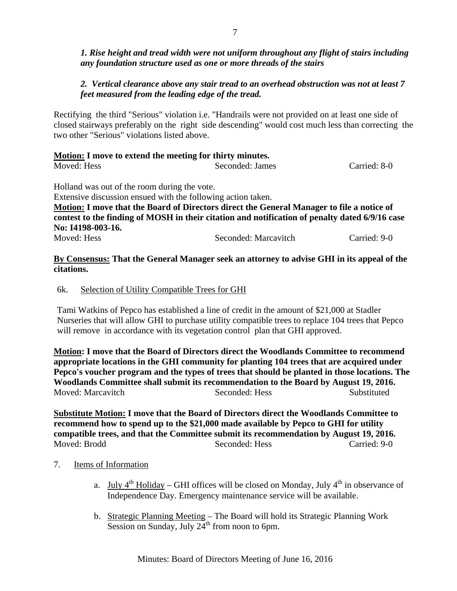## *1. Rise height and tread width were not uniform throughout any flight of stairs including any foundation structure used as one or more threads of the stairs*

# *2. Vertical clearance above any stair tread to an overhead obstruction was not at least 7 feet measured from the leading edge of the tread.*

Rectifying the third "Serious" violation i.e. "Handrails were not provided on at least one side of closed stairways preferably on the right side descending" would cost much less than correcting the two other "Serious" violations listed above.

| Motion: I move to extend the meeting for thirty minutes. |                 |              |  |  |  |
|----------------------------------------------------------|-----------------|--------------|--|--|--|
| Moved: Hess                                              | Seconded: James | Carried: 8-0 |  |  |  |

Holland was out of the room during the vote.

Extensive discussion ensued with the following action taken.

**Motion: I move that the Board of Directors direct the General Manager to file a notice of contest to the finding of MOSH in their citation and notification of penalty dated 6/9/16 case No: I4198-003-16.** 

Moved: Hess Seconded: Marcavitch Carried: 9-0

## **By Consensus: That the General Manager seek an attorney to advise GHI in its appeal of the citations.**

## 6k. Selection of Utility Compatible Trees for GHI

Tami Watkins of Pepco has established a line of credit in the amount of \$21,000 at Stadler Nurseries that will allow GHI to purchase utility compatible trees to replace 104 trees that Pepco will remove in accordance with its vegetation control plan that GHI approved.

**Motion: I move that the Board of Directors direct the Woodlands Committee to recommend appropriate locations in the GHI community for planting 104 trees that are acquired under Pepco's voucher program and the types of trees that should be planted in those locations. The Woodlands Committee shall submit its recommendation to the Board by August 19, 2016.**  Moved: Marcavitch Seconded: Hess Substituted

**Substitute Motion: I move that the Board of Directors direct the Woodlands Committee to recommend how to spend up to the \$21,000 made available by Pepco to GHI for utility compatible trees, and that the Committee submit its recommendation by August 19, 2016.**  Moved: Brodd Seconded: Hess Carried: 9-0

# 7. Items of Information

- a. July  $4^{th}$  Holiday GHI offices will be closed on Monday, July  $4^{th}$  in observance of Independence Day. Emergency maintenance service will be available.
- b. Strategic Planning Meeting The Board will hold its Strategic Planning Work Session on Sunday, July  $24<sup>th</sup>$  from noon to 6pm.